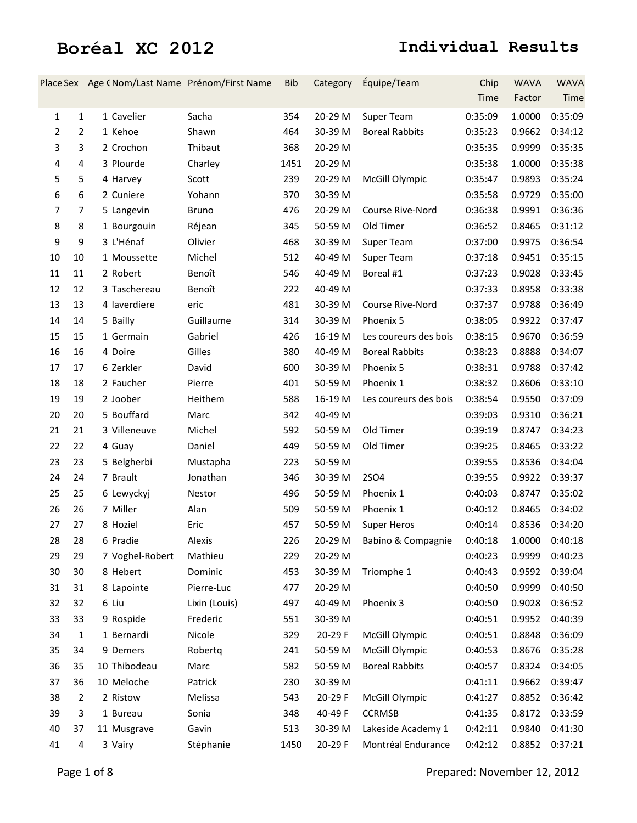|                |                  | Place Sex Age (Nom/Last Name Prénom/First Name |               | Bib  | Category | Équipe/Team           | Chip    | <b>WAVA</b> | <b>WAVA</b> |
|----------------|------------------|------------------------------------------------|---------------|------|----------|-----------------------|---------|-------------|-------------|
|                |                  |                                                |               |      |          |                       | Time    | Factor      | Time        |
| 1              | $\mathbf{1}$     | 1 Cavelier                                     | Sacha         | 354  | 20-29 M  | Super Team            | 0:35:09 | 1.0000      | 0:35:09     |
| $\overline{2}$ | $\overline{2}$   | 1 Kehoe                                        | Shawn         | 464  | 30-39 M  | <b>Boreal Rabbits</b> | 0:35:23 | 0.9662      | 0:34:12     |
| 3              | 3                | 2 Crochon                                      | Thibaut       | 368  | 20-29 M  |                       | 0:35:35 | 0.9999      | 0:35:35     |
| 4              | 4                | 3 Plourde                                      | Charley       | 1451 | 20-29 M  |                       | 0:35:38 | 1.0000      | 0:35:38     |
| 5              | 5                | 4 Harvey                                       | Scott         | 239  | 20-29 M  | McGill Olympic        | 0:35:47 | 0.9893      | 0:35:24     |
| 6              | 6                | 2 Cuniere                                      | Yohann        | 370  | 30-39 M  |                       | 0:35:58 | 0.9729      | 0:35:00     |
| $\overline{7}$ | $\overline{7}$   | 5 Langevin                                     | <b>Bruno</b>  | 476  | 20-29 M  | Course Rive-Nord      | 0:36:38 | 0.9991      | 0:36:36     |
| 8              | 8                | 1 Bourgouin                                    | Réjean        | 345  | 50-59 M  | Old Timer             | 0:36:52 | 0.8465      | 0:31:12     |
| 9              | $\boldsymbol{9}$ | 3 L'Hénaf                                      | Olivier       | 468  | 30-39 M  | Super Team            | 0:37:00 | 0.9975      | 0:36:54     |
| 10<br>10       |                  | 1 Moussette                                    | Michel        | 512  | 40-49 M  | Super Team            | 0:37:18 | 0.9451      | 0:35:15     |
| 11<br>11       |                  | 2 Robert                                       | Benoît        | 546  | 40-49 M  | Boreal #1             | 0:37:23 | 0.9028      | 0:33:45     |
| 12<br>12       |                  | 3 Taschereau                                   | Benoît        | 222  | 40-49 M  |                       | 0:37:33 | 0.8958      | 0:33:38     |
| 13<br>13       |                  | 4 laverdiere                                   | eric          | 481  | 30-39 M  | Course Rive-Nord      | 0:37:37 | 0.9788      | 0:36:49     |
| 14<br>14       |                  | 5 Bailly                                       | Guillaume     | 314  | 30-39 M  | Phoenix 5             | 0:38:05 | 0.9922      | 0:37:47     |
| 15<br>15       |                  | 1 Germain                                      | Gabriel       | 426  | 16-19 M  | Les coureurs des bois | 0:38:15 | 0.9670      | 0:36:59     |
| 16<br>16       |                  | 4 Doire                                        | Gilles        | 380  | 40-49 M  | <b>Boreal Rabbits</b> | 0:38:23 | 0.8888      | 0:34:07     |
| 17<br>17       |                  | 6 Zerkler                                      | David         | 600  | 30-39 M  | Phoenix 5             | 0:38:31 | 0.9788      | 0:37:42     |
| 18<br>18       |                  | 2 Faucher                                      | Pierre        | 401  | 50-59 M  | Phoenix 1             | 0:38:32 | 0.8606      | 0:33:10     |
| 19<br>19       |                  | 2 Joober                                       | Heithem       | 588  | 16-19 M  | Les coureurs des bois | 0:38:54 | 0.9550      | 0:37:09     |
| 20<br>20       |                  | 5 Bouffard                                     | Marc          | 342  | 40-49 M  |                       | 0:39:03 | 0.9310      | 0:36:21     |
| 21<br>21       |                  | 3 Villeneuve                                   | Michel        | 592  | 50-59 M  | Old Timer             | 0:39:19 | 0.8747      | 0:34:23     |
| 22<br>22       |                  | 4 Guay                                         | Daniel        | 449  | 50-59 M  | Old Timer             | 0:39:25 | 0.8465      | 0:33:22     |
| 23<br>23       |                  | 5 Belgherbi                                    | Mustapha      | 223  | 50-59 M  |                       | 0:39:55 | 0.8536      | 0:34:04     |
| 24<br>24       |                  | 7 Brault                                       | Jonathan      | 346  | 30-39 M  | <b>2SO4</b>           | 0:39:55 | 0.9922      | 0:39:37     |
| 25<br>25       |                  | 6 Lewyckyj                                     | Nestor        | 496  | 50-59 M  | Phoenix 1             | 0:40:03 | 0.8747      | 0:35:02     |
| 26<br>26       |                  | 7 Miller                                       | Alan          | 509  | 50-59 M  | Phoenix 1             | 0:40:12 | 0.8465      | 0:34:02     |
| 27<br>27       |                  | 8 Hoziel                                       | Eric          | 457  | 50-59 M  | <b>Super Heros</b>    | 0:40:14 | 0.8536      | 0:34:20     |
| 28<br>28       |                  | 6 Pradie                                       | Alexis        | 226  | 20-29 M  | Babino & Compagnie    | 0:40:18 | 1.0000      | 0:40:18     |
| 29<br>29       |                  | 7 Voghel-Robert                                | Mathieu       | 229  | 20-29 M  |                       | 0:40:23 | 0.9999      | 0:40:23     |
| 30<br>30       |                  | 8 Hebert                                       | Dominic       | 453  | 30-39 M  | Triomphe 1            | 0:40:43 | 0.9592      | 0:39:04     |
| 31<br>31       |                  | 8 Lapointe                                     | Pierre-Luc    | 477  | 20-29 M  |                       | 0:40:50 | 0.9999      | 0:40:50     |
| 32<br>32       |                  | 6 Liu                                          | Lixin (Louis) | 497  | 40-49 M  | Phoenix 3             | 0:40:50 | 0.9028      | 0:36:52     |
| 33<br>33       |                  | 9 Rospide                                      | Frederic      | 551  | 30-39 M  |                       | 0:40:51 | 0.9952      | 0:40:39     |
| 34             | $\mathbf{1}$     | 1 Bernardi                                     | Nicole        | 329  | 20-29 F  | McGill Olympic        | 0:40:51 | 0.8848      | 0:36:09     |
| 35<br>34       |                  | 9 Demers                                       | Robertq       | 241  | 50-59 M  | McGill Olympic        | 0:40:53 | 0.8676      | 0:35:28     |
| 36<br>35       |                  | 10 Thibodeau                                   | Marc          | 582  | 50-59 M  | <b>Boreal Rabbits</b> | 0:40:57 | 0.8324      | 0:34:05     |
| 37<br>36       |                  | 10 Meloche                                     | Patrick       | 230  | 30-39 M  |                       | 0:41:11 | 0.9662      | 0:39:47     |
| 38             | $\overline{2}$   | 2 Ristow                                       | Melissa       | 543  | 20-29 F  | McGill Olympic        | 0:41:27 | 0.8852      | 0:36:42     |
| 39             | 3                | 1 Bureau                                       | Sonia         | 348  | 40-49 F  | <b>CCRMSB</b>         | 0:41:35 | 0.8172      | 0:33:59     |
| 40<br>37       |                  | 11 Musgrave                                    | Gavin         | 513  | 30-39 M  | Lakeside Academy 1    | 0:42:11 | 0.9840      | 0:41:30     |
| 41             | 4                | 3 Vairy                                        | Stéphanie     | 1450 | 20-29 F  | Montréal Endurance    | 0:42:12 | 0.8852      | 0:37:21     |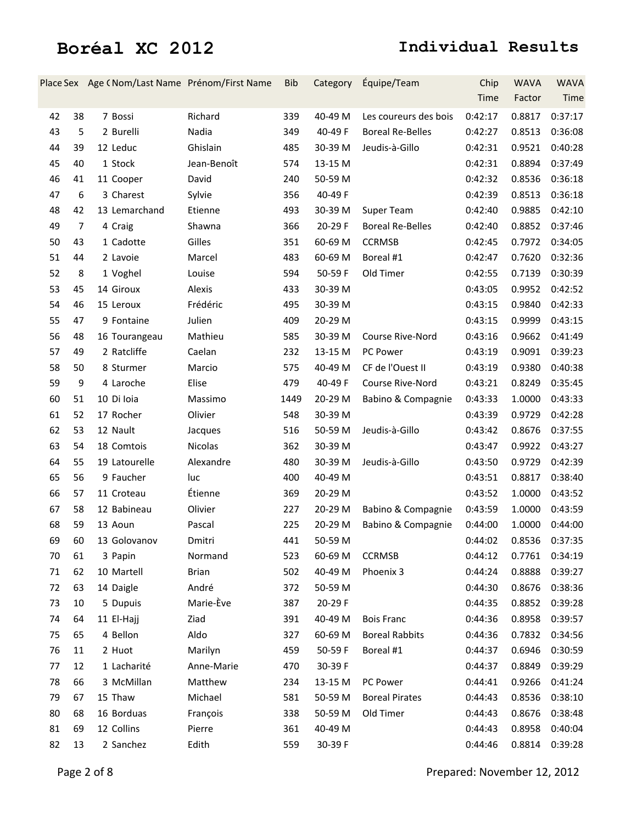|    |    | Place Sex Age (Nom/Last Name Prénom/First Name |              | <b>Bib</b> | Category | Équipe/Team             | Chip    | <b>WAVA</b> | <b>WAVA</b> |
|----|----|------------------------------------------------|--------------|------------|----------|-------------------------|---------|-------------|-------------|
|    |    |                                                |              |            |          |                         | Time    | Factor      | Time        |
| 42 | 38 | 7 Bossi                                        | Richard      | 339        | 40-49 M  | Les coureurs des bois   | 0:42:17 | 0.8817      | 0:37:17     |
| 43 | 5  | 2 Burelli                                      | Nadia        | 349        | 40-49 F  | <b>Boreal Re-Belles</b> | 0:42:27 | 0.8513      | 0:36:08     |
| 44 | 39 | 12 Leduc                                       | Ghislain     | 485        | 30-39 M  | Jeudis-à-Gillo          | 0:42:31 | 0.9521      | 0:40:28     |
| 45 | 40 | 1 Stock                                        | Jean-Benoît  | 574        | 13-15 M  |                         | 0:42:31 | 0.8894      | 0:37:49     |
| 46 | 41 | 11 Cooper                                      | David        | 240        | 50-59 M  |                         | 0:42:32 | 0.8536      | 0:36:18     |
| 47 | 6  | 3 Charest                                      | Sylvie       | 356        | 40-49 F  |                         | 0:42:39 | 0.8513      | 0:36:18     |
| 48 | 42 | 13 Lemarchand                                  | Etienne      | 493        | 30-39 M  | Super Team              | 0:42:40 | 0.9885      | 0:42:10     |
| 49 | 7  | 4 Craig                                        | Shawna       | 366        | 20-29 F  | <b>Boreal Re-Belles</b> | 0:42:40 | 0.8852      | 0:37:46     |
| 50 | 43 | 1 Cadotte                                      | Gilles       | 351        | 60-69 M  | <b>CCRMSB</b>           | 0:42:45 | 0.7972      | 0:34:05     |
| 51 | 44 | 2 Lavoie                                       | Marcel       | 483        | 60-69 M  | Boreal #1               | 0:42:47 | 0.7620      | 0:32:36     |
| 52 | 8  | 1 Voghel                                       | Louise       | 594        | 50-59 F  | Old Timer               | 0:42:55 | 0.7139      | 0:30:39     |
| 53 | 45 | 14 Giroux                                      | Alexis       | 433        | 30-39 M  |                         | 0:43:05 | 0.9952      | 0:42:52     |
| 54 | 46 | 15 Leroux                                      | Frédéric     | 495        | 30-39 M  |                         | 0:43:15 | 0.9840      | 0:42:33     |
| 55 | 47 | 9 Fontaine                                     | Julien       | 409        | 20-29 M  |                         | 0:43:15 | 0.9999      | 0:43:15     |
| 56 | 48 | 16 Tourangeau                                  | Mathieu      | 585        | 30-39 M  | Course Rive-Nord        | 0:43:16 | 0.9662      | 0:41:49     |
| 57 | 49 | 2 Ratcliffe                                    | Caelan       | 232        | 13-15 M  | PC Power                | 0:43:19 | 0.9091      | 0:39:23     |
| 58 | 50 | 8 Sturmer                                      | Marcio       | 575        | 40-49 M  | CF de l'Ouest II        | 0:43:19 | 0.9380      | 0:40:38     |
| 59 | 9  | 4 Laroche                                      | Elise        | 479        | 40-49 F  | Course Rive-Nord        | 0:43:21 | 0.8249      | 0:35:45     |
| 60 | 51 | 10 Di loia                                     | Massimo      | 1449       | 20-29 M  | Babino & Compagnie      | 0:43:33 | 1.0000      | 0:43:33     |
| 61 | 52 | 17 Rocher                                      | Olivier      | 548        | 30-39 M  |                         | 0:43:39 | 0.9729      | 0:42:28     |
| 62 | 53 | 12 Nault                                       | Jacques      | 516        | 50-59 M  | Jeudis-à-Gillo          | 0:43:42 | 0.8676      | 0:37:55     |
| 63 | 54 | 18 Comtois                                     | Nicolas      | 362        | 30-39 M  |                         | 0:43:47 | 0.9922      | 0:43:27     |
| 64 | 55 | 19 Latourelle                                  | Alexandre    | 480        | 30-39 M  | Jeudis-à-Gillo          | 0:43:50 | 0.9729      | 0:42:39     |
| 65 | 56 | 9 Faucher                                      | luc          | 400        | 40-49 M  |                         | 0:43:51 | 0.8817      | 0:38:40     |
| 66 | 57 | 11 Croteau                                     | Étienne      | 369        | 20-29 M  |                         | 0:43:52 | 1.0000      | 0:43:52     |
| 67 | 58 | 12 Babineau                                    | Olivier      | 227        | 20-29 M  | Babino & Compagnie      | 0:43:59 | 1.0000      | 0:43:59     |
| 68 | 59 | 13 Aoun                                        | Pascal       | 225        | 20-29 M  | Babino & Compagnie      | 0:44:00 | 1.0000      | 0:44:00     |
| 69 | 60 | 13 Golovanov                                   | Dmitri       | 441        | 50-59 M  |                         | 0:44:02 | 0.8536      | 0:37:35     |
| 70 | 61 | 3 Papin                                        | Normand      | 523        | 60-69 M  | <b>CCRMSB</b>           | 0:44:12 | 0.7761      | 0:34:19     |
| 71 | 62 | 10 Martell                                     | <b>Brian</b> | 502        | 40-49 M  | Phoenix 3               | 0:44:24 | 0.8888      | 0:39:27     |
| 72 | 63 | 14 Daigle                                      | André        | 372        | 50-59 M  |                         | 0:44:30 | 0.8676      | 0:38:36     |
| 73 | 10 | 5 Dupuis                                       | Marie-Ève    | 387        | 20-29 F  |                         | 0:44:35 | 0.8852      | 0:39:28     |
| 74 | 64 | 11 El-Hajj                                     | Ziad         | 391        | 40-49 M  | <b>Bois Franc</b>       | 0:44:36 | 0.8958      | 0:39:57     |
| 75 | 65 | 4 Bellon                                       | Aldo         | 327        | 60-69 M  | <b>Boreal Rabbits</b>   | 0:44:36 | 0.7832      | 0:34:56     |
| 76 | 11 | 2 Huot                                         | Marilyn      | 459        | 50-59 F  | Boreal #1               | 0:44:37 | 0.6946      | 0:30:59     |
| 77 | 12 | 1 Lacharité                                    | Anne-Marie   | 470        | 30-39 F  |                         | 0:44:37 | 0.8849      | 0:39:29     |
| 78 | 66 | 3 McMillan                                     | Matthew      | 234        | 13-15 M  | PC Power                | 0:44:41 | 0.9266      | 0:41:24     |
| 79 | 67 | 15 Thaw                                        | Michael      | 581        | 50-59 M  | <b>Boreal Pirates</b>   | 0:44:43 | 0.8536      | 0:38:10     |
| 80 | 68 | 16 Borduas                                     | François     | 338        | 50-59 M  | Old Timer               | 0:44:43 | 0.8676      | 0:38:48     |
| 81 | 69 | 12 Collins                                     | Pierre       | 361        | 40-49 M  |                         | 0:44:43 | 0.8958      | 0:40:04     |
| 82 | 13 | 2 Sanchez                                      | Edith        | 559        | 30-39 F  |                         | 0:44:46 | 0.8814      | 0:39:28     |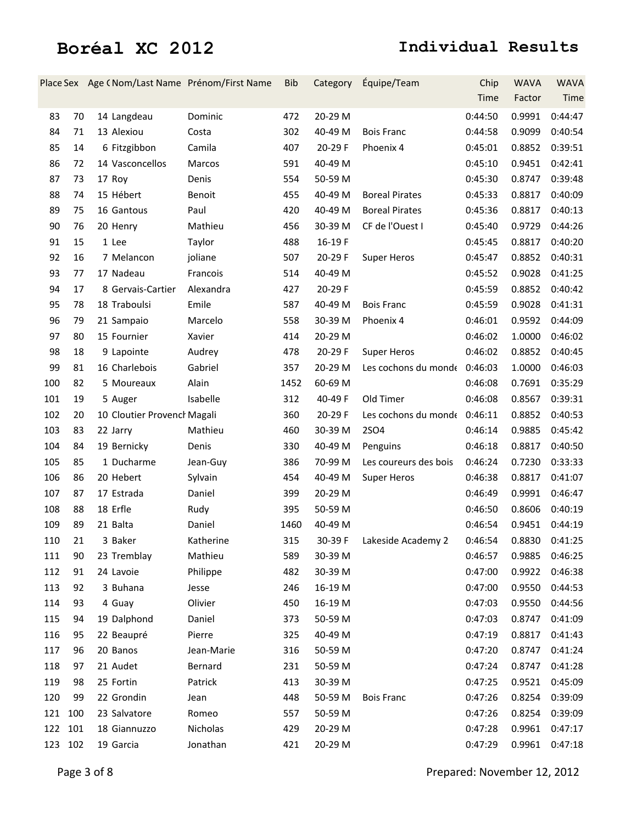|         |     |                             | Place Sex Age (Nom/Last Name Prénom/First Name | Bib  | Category | Équipe/Team                  | Chip           | <b>WAVA</b> | <b>WAVA</b> |
|---------|-----|-----------------------------|------------------------------------------------|------|----------|------------------------------|----------------|-------------|-------------|
|         |     |                             |                                                |      |          |                              | Time           | Factor      | Time        |
| 83      | 70  | 14 Langdeau                 | Dominic                                        | 472  | 20-29 M  |                              | 0:44:50        | 0.9991      | 0:44:47     |
| 84      | 71  | 13 Alexiou                  | Costa                                          | 302  | 40-49 M  | <b>Bois Franc</b>            | 0:44:58        | 0.9099      | 0:40:54     |
| 85      | 14  | 6 Fitzgibbon                | Camila                                         | 407  | 20-29 F  | Phoenix 4                    | 0:45:01        | 0.8852      | 0:39:51     |
| 86      | 72  | 14 Vasconcellos             | Marcos                                         | 591  | 40-49 M  |                              | 0:45:10        | 0.9451      | 0:42:41     |
| 87      | 73  | 17 Roy                      | Denis                                          | 554  | 50-59 M  |                              | 0:45:30        | 0.8747      | 0:39:48     |
| 88      | 74  | 15 Hébert                   | <b>Benoit</b>                                  | 455  | 40-49 M  | <b>Boreal Pirates</b>        | 0:45:33        | 0.8817      | 0:40:09     |
| 89      | 75  | 16 Gantous                  | Paul                                           | 420  | 40-49 M  | <b>Boreal Pirates</b>        | 0:45:36        | 0.8817      | 0:40:13     |
| 90      | 76  | 20 Henry                    | Mathieu                                        | 456  | 30-39 M  | CF de l'Ouest I              | 0:45:40        | 0.9729      | 0:44:26     |
| 91      | 15  | 1 Lee                       | Taylor                                         | 488  | 16-19F   |                              | 0:45:45        | 0.8817      | 0:40:20     |
| 92      | 16  | 7 Melancon                  | joliane                                        | 507  | 20-29 F  | <b>Super Heros</b>           | 0:45:47        | 0.8852      | 0:40:31     |
| 93      | 77  | 17 Nadeau                   | Francois                                       | 514  | 40-49 M  |                              | 0:45:52        | 0.9028      | 0:41:25     |
| 94      | 17  | 8 Gervais-Cartier           | Alexandra                                      | 427  | 20-29 F  |                              | 0:45:59        | 0.8852      | 0:40:42     |
| 95      | 78  | 18 Traboulsi                | Emile                                          | 587  | 40-49 M  | <b>Bois Franc</b>            | 0:45:59        | 0.9028      | 0:41:31     |
| 96      | 79  | 21 Sampaio                  | Marcelo                                        | 558  | 30-39 M  | Phoenix 4                    | 0:46:01        | 0.9592      | 0:44:09     |
| 97      | 80  | 15 Fournier                 | Xavier                                         | 414  | 20-29 M  |                              | 0:46:02        | 1.0000      | 0:46:02     |
| 98      | 18  | 9 Lapointe                  | Audrey                                         | 478  | 20-29 F  | <b>Super Heros</b>           | 0:46:02        | 0.8852      | 0:40:45     |
| 99      | 81  | 16 Charlebois               | Gabriel                                        | 357  | 20-29 M  | Les cochons du monde 0:46:03 |                | 1.0000      | 0:46:03     |
| 100     | 82  | 5 Moureaux                  | Alain                                          | 1452 | 60-69 M  |                              | 0:46:08        | 0.7691      | 0:35:29     |
| 101     | 19  | 5 Auger                     | Isabelle                                       | 312  | 40-49 F  | Old Timer                    | 0:46:08        | 0.8567      | 0:39:31     |
| 102     | 20  | 10 Cloutier Provencl Magali |                                                | 360  | 20-29 F  | Les cochons du monde 0:46:11 |                | 0.8852      | 0:40:53     |
| 103     | 83  | 22 Jarry                    | Mathieu                                        | 460  | 30-39 M  | <b>2SO4</b>                  | 0:46:14        | 0.9885      | 0:45:42     |
| 104     | 84  | 19 Bernicky                 | Denis                                          | 330  | 40-49 M  | Penguins                     | 0:46:18        | 0.8817      | 0:40:50     |
| 105     | 85  | 1 Ducharme                  | Jean-Guy                                       | 386  | 70-99 M  | Les coureurs des bois        | 0:46:24        | 0.7230      | 0:33:33     |
| 106     | 86  | 20 Hebert                   | Sylvain                                        | 454  | 40-49 M  | <b>Super Heros</b>           | 0:46:38        | 0.8817      | 0:41:07     |
| 107     | 87  | 17 Estrada                  | Daniel                                         | 399  | 20-29 M  |                              | 0:46:49        | 0.9991      | 0:46:47     |
| 108     | 88  | 18 Erfle                    | Rudy                                           | 395  | 50-59 M  |                              | 0:46:50        | 0.8606      | 0:40:19     |
| 109     | 89  | 21 Balta                    | Daniel                                         | 1460 | 40-49 M  |                              | 0:46:54        | 0.9451      | 0:44:19     |
| 110     | 21  | 3 Baker                     | Katherine                                      | 315  |          | 30-39 F Lakeside Academy 2   | 0:46:54 0.8830 |             | 0:41:25     |
| 111     | 90  | 23 Tremblay                 | Mathieu                                        | 589  | 30-39 M  |                              | 0:46:57        | 0.9885      | 0:46:25     |
| 112     | 91  | 24 Lavoie                   | Philippe                                       | 482  | 30-39 M  |                              | 0:47:00        | 0.9922      | 0:46:38     |
| 113     | 92  | 3 Buhana                    | Jesse                                          | 246  | 16-19 M  |                              | 0:47:00        | 0.9550      | 0:44:53     |
| 114     | 93  | 4 Guay                      | Olivier                                        | 450  | 16-19 M  |                              | 0:47:03        | 0.9550      | 0:44:56     |
| 115     | 94  | 19 Dalphond                 | Daniel                                         | 373  | 50-59 M  |                              | 0:47:03        | 0.8747      | 0:41:09     |
| 116     | 95  | 22 Beaupré                  | Pierre                                         | 325  | 40-49 M  |                              | 0:47:19        | 0.8817      | 0:41:43     |
| 117     | 96  | 20 Banos                    | Jean-Marie                                     | 316  | 50-59 M  |                              | 0:47:20        | 0.8747      | 0:41:24     |
| 118     | 97  | 21 Audet                    | Bernard                                        | 231  | 50-59 M  |                              | 0:47:24        | 0.8747      | 0:41:28     |
| 119     | 98  | 25 Fortin                   | Patrick                                        | 413  | 30-39 M  |                              | 0:47:25        | 0.9521      | 0:45:09     |
| 120     | 99  | 22 Grondin                  | Jean                                           | 448  | 50-59 M  | <b>Bois Franc</b>            | 0:47:26        | 0.8254      | 0:39:09     |
| 121     | 100 | 23 Salvatore                | Romeo                                          | 557  | 50-59 M  |                              | 0:47:26        | 0.8254      | 0:39:09     |
| 122     | 101 | 18 Giannuzzo                | Nicholas                                       | 429  | 20-29 M  |                              | 0:47:28        | 0.9961      | 0:47:17     |
| 123 102 |     | 19 Garcia                   | Jonathan                                       | 421  | 20-29 M  |                              | 0:47:29        | 0.9961      | 0:47:18     |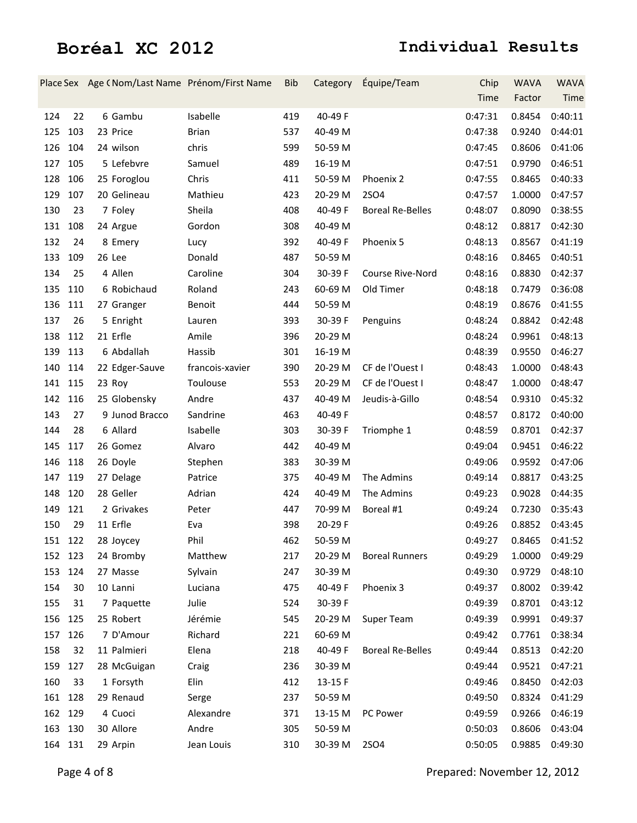|         |     | Place Sex Age (Nom/Last Name Prénom/First Name |                 | <b>Bib</b> | Category | Équipe/Team             | Chip    | <b>WAVA</b> | <b>WAVA</b>    |
|---------|-----|------------------------------------------------|-----------------|------------|----------|-------------------------|---------|-------------|----------------|
|         |     |                                                |                 |            |          |                         | Time    | Factor      | Time           |
| 124     | 22  | 6 Gambu                                        | Isabelle        | 419        | 40-49 F  |                         | 0:47:31 | 0.8454      | 0:40:11        |
| 125     | 103 | 23 Price                                       | <b>Brian</b>    | 537        | 40-49 M  |                         | 0:47:38 | 0.9240      | 0:44:01        |
| 126 104 |     | 24 wilson                                      | chris           | 599        | 50-59 M  |                         | 0:47:45 | 0.8606      | 0:41:06        |
| 127     | 105 | 5 Lefebvre                                     | Samuel          | 489        | 16-19 M  |                         | 0:47:51 | 0.9790      | 0:46:51        |
| 128     | 106 | 25 Foroglou                                    | Chris           | 411        | 50-59 M  | Phoenix 2               | 0:47:55 | 0.8465      | 0:40:33        |
| 129     | 107 | 20 Gelineau                                    | Mathieu         | 423        | 20-29 M  | <b>2SO4</b>             | 0:47:57 | 1.0000      | 0:47:57        |
| 130     | 23  | 7 Foley                                        | Sheila          | 408        | 40-49 F  | <b>Boreal Re-Belles</b> | 0:48:07 | 0.8090      | 0:38:55        |
| 131     | 108 | 24 Argue                                       | Gordon          | 308        | 40-49 M  |                         | 0:48:12 | 0.8817      | 0:42:30        |
| 132     | 24  | 8 Emery                                        | Lucy            | 392        | 40-49 F  | Phoenix 5               | 0:48:13 | 0.8567      | 0:41:19        |
| 133     | 109 | 26 Lee                                         | Donald          | 487        | 50-59 M  |                         | 0:48:16 | 0.8465      | 0:40:51        |
| 134     | 25  | 4 Allen                                        | Caroline        | 304        | 30-39 F  | Course Rive-Nord        | 0:48:16 | 0.8830      | 0:42:37        |
| 135     | 110 | 6 Robichaud                                    | Roland          | 243        | 60-69 M  | Old Timer               | 0:48:18 | 0.7479      | 0:36:08        |
| 136     | 111 | 27 Granger                                     | Benoit          | 444        | 50-59 M  |                         | 0:48:19 | 0.8676      | 0:41:55        |
| 137     | 26  | 5 Enright                                      | Lauren          | 393        | 30-39 F  | Penguins                | 0:48:24 | 0.8842      | 0:42:48        |
| 138     | 112 | 21 Erfle                                       | Amile           | 396        | 20-29 M  |                         | 0:48:24 | 0.9961      | 0:48:13        |
| 139 113 |     | 6 Abdallah                                     | Hassib          | 301        | 16-19 M  |                         | 0:48:39 | 0.9550      | 0:46:27        |
| 140     | 114 | 22 Edger-Sauve                                 | francois-xavier | 390        | 20-29 M  | CF de l'Ouest I         | 0:48:43 | 1.0000      | 0:48:43        |
| 141 115 |     | 23 Roy                                         | Toulouse        | 553        | 20-29 M  | CF de l'Ouest I         | 0:48:47 | 1.0000      | 0:48:47        |
| 142 116 |     | 25 Globensky                                   | Andre           | 437        | 40-49 M  | Jeudis-à-Gillo          | 0:48:54 | 0.9310      | 0:45:32        |
| 143     | 27  | 9 Junod Bracco                                 | Sandrine        | 463        | 40-49 F  |                         | 0:48:57 | 0.8172      | 0:40:00        |
| 144     | 28  | 6 Allard                                       | Isabelle        | 303        | 30-39 F  | Triomphe 1              | 0:48:59 | 0.8701      | 0:42:37        |
| 145     | 117 | 26 Gomez                                       | Alvaro          | 442        | 40-49 M  |                         | 0:49:04 | 0.9451      | 0:46:22        |
| 146     | 118 | 26 Doyle                                       | Stephen         | 383        | 30-39 M  |                         | 0:49:06 | 0.9592      | 0:47:06        |
| 147 119 |     | 27 Delage                                      | Patrice         | 375        | 40-49 M  | The Admins              | 0:49:14 | 0.8817      | 0:43:25        |
| 148     | 120 | 28 Geller                                      | Adrian          | 424        | 40-49 M  | The Admins              | 0:49:23 | 0.9028      | 0:44:35        |
| 149     | 121 | 2 Grivakes                                     | Peter           | 447        | 70-99 M  | Boreal #1               | 0:49:24 | 0.7230      | 0:35:43        |
| 150     | 29  | 11 Erfle                                       | Eva             | 398        | 20-29 F  |                         | 0:49:26 | 0.8852      | 0:43:45        |
| 151 122 |     | 28 Joycey                                      | Phil            | 462        | 50-59 M  |                         | 0:49:27 |             | 0.8465 0:41:52 |
| 152 123 |     | 24 Bromby                                      | Matthew         | 217        | 20-29 M  | <b>Boreal Runners</b>   | 0:49:29 | 1.0000      | 0:49:29        |
| 153 124 |     | 27 Masse                                       | Sylvain         | 247        | 30-39 M  |                         | 0:49:30 | 0.9729      | 0:48:10        |
| 154     | 30  | 10 Lanni                                       | Luciana         | 475        | 40-49 F  | Phoenix 3               | 0:49:37 | 0.8002      | 0:39:42        |
| 155     | 31  | 7 Paquette                                     | Julie           | 524        | 30-39 F  |                         | 0:49:39 | 0.8701      | 0:43:12        |
| 156 125 |     | 25 Robert                                      | Jérémie         | 545        | 20-29 M  | Super Team              | 0:49:39 | 0.9991      | 0:49:37        |
| 157 126 |     | 7 D'Amour                                      | Richard         | 221        | 60-69 M  |                         | 0:49:42 | 0.7761      | 0:38:34        |
| 158     | 32  | 11 Palmieri                                    | Elena           | 218        | 40-49 F  | <b>Boreal Re-Belles</b> | 0:49:44 | 0.8513      | 0:42:20        |
| 159 127 |     | 28 McGuigan                                    | Craig           | 236        | 30-39 M  |                         | 0:49:44 | 0.9521      | 0:47:21        |
| 160     | 33  | 1 Forsyth                                      | Elin            | 412        | 13-15 F  |                         | 0:49:46 | 0.8450      | 0:42:03        |
| 161 128 |     | 29 Renaud                                      | Serge           | 237        | 50-59 M  |                         | 0:49:50 | 0.8324      | 0:41:29        |
| 162 129 |     | 4 Cuoci                                        | Alexandre       | 371        | 13-15 M  | PC Power                | 0:49:59 | 0.9266      | 0:46:19        |
| 163 130 |     | 30 Allore                                      | Andre           | 305        | 50-59 M  |                         | 0:50:03 | 0.8606      | 0:43:04        |
| 164 131 |     | 29 Arpin                                       | Jean Louis      | 310        | 30-39 M  | 2SO4                    | 0:50:05 | 0.9885      | 0:49:30        |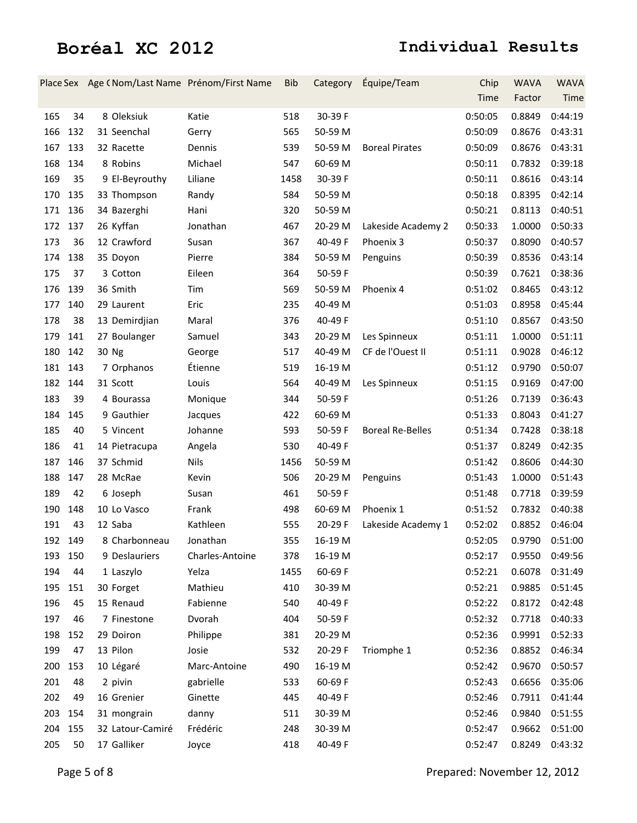|         |     | Place Sex Age (Nom/Last Name Prénom/First Name |                 | <b>Bib</b> | Category | Équipe/Team             | Chip    | <b>WAVA</b> | <b>WAVA</b>    |
|---------|-----|------------------------------------------------|-----------------|------------|----------|-------------------------|---------|-------------|----------------|
|         |     |                                                |                 |            |          |                         | Time    | Factor      | Time           |
| 165     | 34  | 8 Oleksiuk                                     | Katie           | 518        | 30-39 F  |                         | 0:50:05 | 0.8849      | 0:44:19        |
| 166     | 132 | 31 Seenchal                                    | Gerry           | 565        | 50-59 M  |                         | 0:50:09 | 0.8676      | 0:43:31        |
| 167     | 133 | 32 Racette                                     | Dennis          | 539        | 50-59 M  | <b>Boreal Pirates</b>   | 0:50:09 | 0.8676      | 0:43:31        |
| 168     | 134 | 8 Robins                                       | Michael         | 547        | 60-69 M  |                         | 0:50:11 | 0.7832      | 0:39:18        |
| 169     | 35  | 9 El-Beyrouthy                                 | Liliane         | 1458       | 30-39 F  |                         | 0:50:11 | 0.8616      | 0:43:14        |
| 170     | 135 | 33 Thompson                                    | Randy           | 584        | 50-59 M  |                         | 0:50:18 | 0.8395      | 0:42:14        |
| 171     | 136 | 34 Bazerghi                                    | Hani            | 320        | 50-59 M  |                         | 0:50:21 | 0.8113      | 0:40:51        |
| 172     | 137 | 26 Kyffan                                      | Jonathan        | 467        | 20-29 M  | Lakeside Academy 2      | 0:50:33 | 1.0000      | 0:50:33        |
| 173     | 36  | 12 Crawford                                    | Susan           | 367        | 40-49 F  | Phoenix 3               | 0:50:37 | 0.8090      | 0:40:57        |
| 174     | 138 | 35 Doyon                                       | Pierre          | 384        | 50-59 M  | Penguins                | 0:50:39 | 0.8536      | 0:43:14        |
| 175     | 37  | 3 Cotton                                       | Eileen          | 364        | 50-59F   |                         | 0:50:39 | 0.7621      | 0:38:36        |
| 176     | 139 | 36 Smith                                       | Tim             | 569        | 50-59 M  | Phoenix 4               | 0:51:02 | 0.8465      | 0:43:12        |
| 177     | 140 | 29 Laurent                                     | Eric            | 235        | 40-49 M  |                         | 0:51:03 | 0.8958      | 0:45:44        |
| 178     | 38  | 13 Demirdjian                                  | Maral           | 376        | 40-49 F  |                         | 0:51:10 | 0.8567      | 0:43:50        |
| 179     | 141 | 27 Boulanger                                   | Samuel          | 343        | 20-29 M  | Les Spinneux            | 0:51:11 | 1.0000      | 0:51:11        |
| 180     | 142 | 30 Ng                                          | George          | 517        | 40-49 M  | CF de l'Ouest II        | 0:51:11 | 0.9028      | 0:46:12        |
| 181 143 |     | 7 Orphanos                                     | Étienne         | 519        | 16-19 M  |                         | 0:51:12 | 0.9790      | 0:50:07        |
| 182 144 |     | 31 Scott                                       | Louis           | 564        | 40-49 M  | Les Spinneux            | 0:51:15 | 0.9169      | 0:47:00        |
| 183     | 39  | 4 Bourassa                                     | Monique         | 344        | 50-59 F  |                         | 0:51:26 | 0.7139      | 0:36:43        |
| 184     | 145 | 9 Gauthier                                     | Jacques         | 422        | 60-69 M  |                         | 0:51:33 | 0.8043      | 0:41:27        |
| 185     | 40  | 5 Vincent                                      | Johanne         | 593        | 50-59 F  | <b>Boreal Re-Belles</b> | 0:51:34 | 0.7428      | 0:38:18        |
| 186     | 41  | 14 Pietracupa                                  | Angela          | 530        | 40-49 F  |                         | 0:51:37 | 0.8249      | 0:42:35        |
| 187     | 146 | 37 Schmid                                      | <b>Nils</b>     | 1456       | 50-59 M  |                         | 0:51:42 | 0.8606      | 0:44:30        |
| 188     | 147 | 28 McRae                                       | Kevin           | 506        | 20-29 M  | Penguins                | 0:51:43 | 1.0000      | 0:51:43        |
| 189     | 42  | 6 Joseph                                       | Susan           | 461        | 50-59 F  |                         | 0:51:48 | 0.7718      | 0:39:59        |
| 190     | 148 | 10 Lo Vasco                                    | Frank           | 498        | 60-69 M  | Phoenix 1               | 0:51:52 | 0.7832      | 0:40:38        |
| 191     | 43  | 12 Saba                                        | Kathleen        | 555        | 20-29 F  | Lakeside Academy 1      | 0:52:02 | 0.8852      | 0:46:04        |
| 192 149 |     | 8 Charbonneau                                  | Jonathan        | 355        | 16-19 M  |                         | 0:52:05 |             | 0.9790 0:51:00 |
| 193 150 |     | 9 Deslauriers                                  | Charles-Antoine | 378        | 16-19 M  |                         | 0:52:17 | 0.9550      | 0:49:56        |
| 194     | 44  | 1 Laszylo                                      | Yelza           | 1455       | 60-69 F  |                         | 0:52:21 | 0.6078      | 0:31:49        |
| 195     | 151 | 30 Forget                                      | Mathieu         | 410        | 30-39 M  |                         | 0:52:21 | 0.9885      | 0:51:45        |
| 196     | 45  | 15 Renaud                                      | Fabienne        | 540        | 40-49 F  |                         | 0:52:22 | 0.8172      | 0:42:48        |
| 197     | 46  | 7 Finestone                                    | Dvorah          | 404        | 50-59 F  |                         | 0:52:32 | 0.7718      | 0:40:33        |
| 198     | 152 | 29 Doiron                                      | Philippe        | 381        | 20-29 M  |                         | 0:52:36 | 0.9991      | 0:52:33        |
| 199     | 47  | 13 Pilon                                       | Josie           | 532        | 20-29 F  | Triomphe 1              | 0:52:36 | 0.8852      | 0:46:34        |
| 200     | 153 | 10 Légaré                                      | Marc-Antoine    | 490        | 16-19 M  |                         | 0:52:42 | 0.9670      | 0:50:57        |
| 201     | 48  | 2 pivin                                        | gabrielle       | 533        | 60-69 F  |                         | 0:52:43 | 0.6656      | 0:35:06        |
| 202     | 49  | 16 Grenier                                     | Ginette         | 445        | 40-49 F  |                         | 0:52:46 | 0.7911      | 0:41:44        |
| 203     | 154 | 31 mongrain                                    | danny           | 511        | 30-39 M  |                         | 0:52:46 | 0.9840      | 0:51:55        |
| 204     | 155 | 32 Latour-Camiré                               | Frédéric        | 248        | 30-39 M  |                         | 0:52:47 | 0.9662      | 0:51:00        |
| 205     | 50  | 17 Galliker                                    | Joyce           | 418        | 40-49 F  |                         | 0:52:47 | 0.8249      | 0:43:32        |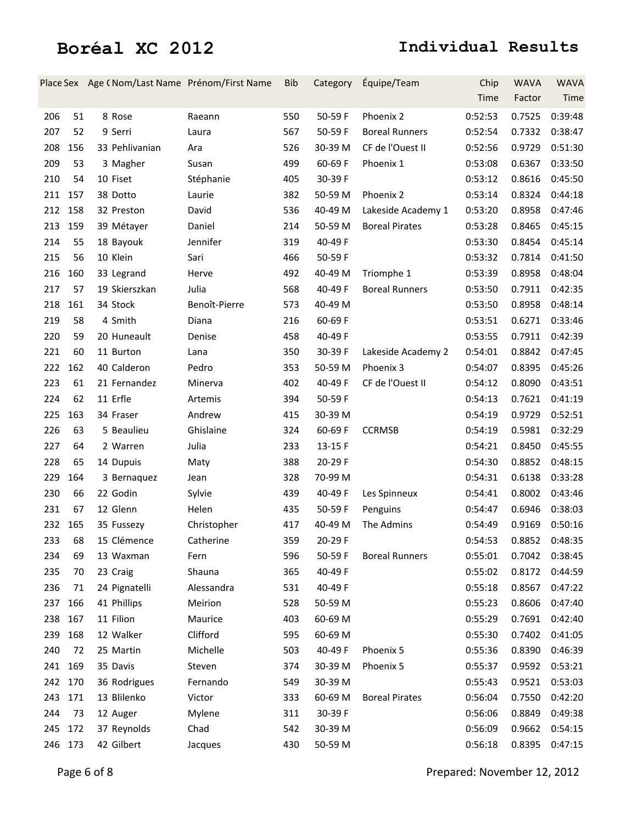|         |     | Place Sex Age (Nom/Last Name Prénom/First Name |               | <b>Bib</b> | Category | Équipe/Team           | Chip<br>Time | <b>WAVA</b><br>Factor | <b>WAVA</b><br>Time |
|---------|-----|------------------------------------------------|---------------|------------|----------|-----------------------|--------------|-----------------------|---------------------|
| 206     | 51  | 8 Rose                                         | Raeann        | 550        | 50-59 F  | Phoenix 2             | 0:52:53      | 0.7525                | 0:39:48             |
| 207     | 52  | 9 Serri                                        | Laura         | 567        | 50-59 F  | <b>Boreal Runners</b> | 0:52:54      | 0.7332                | 0:38:47             |
| 208     | 156 | 33 Pehlivanian                                 | Ara           | 526        | 30-39 M  | CF de l'Ouest II      | 0:52:56      | 0.9729                | 0:51:30             |
|         |     |                                                |               |            |          |                       |              |                       |                     |
| 209     | 53  | 3 Magher                                       | Susan         | 499        | 60-69 F  | Phoenix 1             | 0:53:08      | 0.6367                | 0:33:50             |
| 210     | 54  | 10 Fiset                                       | Stéphanie     | 405        | 30-39 F  |                       | 0:53:12      | 0.8616                | 0:45:50             |
| 211     | 157 | 38 Dotto                                       | Laurie        | 382        | 50-59 M  | Phoenix 2             | 0:53:14      | 0.8324                | 0:44:18             |
| 212     | 158 | 32 Preston                                     | David         | 536        | 40-49 M  | Lakeside Academy 1    | 0:53:20      | 0.8958                | 0:47:46             |
| 213     | 159 | 39 Métayer                                     | Daniel        | 214        | 50-59 M  | <b>Boreal Pirates</b> | 0:53:28      | 0.8465                | 0:45:15             |
| 214     | 55  | 18 Bayouk                                      | Jennifer      | 319        | 40-49 F  |                       | 0:53:30      | 0.8454                | 0:45:14             |
| 215     | 56  | 10 Klein                                       | Sari          | 466        | 50-59 F  |                       | 0:53:32      | 0.7814                | 0:41:50             |
| 216     | 160 | 33 Legrand                                     | Herve         | 492        | 40-49 M  | Triomphe 1            | 0:53:39      | 0.8958                | 0:48:04             |
| 217     | 57  | 19 Skierszkan                                  | Julia         | 568        | 40-49 F  | <b>Boreal Runners</b> | 0:53:50      | 0.7911                | 0:42:35             |
| 218     | 161 | 34 Stock                                       | Benoît-Pierre | 573        | 40-49 M  |                       | 0:53:50      | 0.8958                | 0:48:14             |
| 219     | 58  | 4 Smith                                        | Diana         | 216        | 60-69 F  |                       | 0:53:51      | 0.6271                | 0:33:46             |
| 220     | 59  | 20 Huneault                                    | Denise        | 458        | 40-49 F  |                       | 0:53:55      | 0.7911                | 0:42:39             |
| 221     | 60  | 11 Burton                                      | Lana          | 350        | 30-39 F  | Lakeside Academy 2    | 0:54:01      | 0.8842                | 0:47:45             |
| 222     | 162 | 40 Calderon                                    | Pedro         | 353        | 50-59 M  | Phoenix 3             | 0:54:07      | 0.8395                | 0:45:26             |
| 223     | 61  | 21 Fernandez                                   | Minerva       | 402        | 40-49 F  | CF de l'Ouest II      | 0:54:12      | 0.8090                | 0:43:51             |
| 224     | 62  | 11 Erfle                                       | Artemis       | 394        | 50-59 F  |                       | 0:54:13      | 0.7621                | 0:41:19             |
| 225     | 163 | 34 Fraser                                      | Andrew        | 415        | 30-39 M  |                       | 0:54:19      | 0.9729                | 0:52:51             |
| 226     | 63  | 5 Beaulieu                                     | Ghislaine     | 324        | 60-69 F  | <b>CCRMSB</b>         | 0:54:19      | 0.5981                | 0:32:29             |
| 227     | 64  | 2 Warren                                       | Julia         | 233        | 13-15 F  |                       | 0:54:21      | 0.8450                | 0:45:55             |
| 228     | 65  | 14 Dupuis                                      | Maty          | 388        | 20-29 F  |                       | 0:54:30      | 0.8852                | 0:48:15             |
| 229     | 164 | 3 Bernaquez                                    | Jean          | 328        | 70-99 M  |                       | 0:54:31      | 0.6138                | 0:33:28             |
| 230     | 66  | 22 Godin                                       | Sylvie        | 439        | 40-49 F  | Les Spinneux          | 0:54:41      | 0.8002                | 0:43:46             |
| 231     | 67  | 12 Glenn                                       | Helen         | 435        | 50-59 F  | Penguins              | 0:54:47      | 0.6946                | 0:38:03             |
| 232     | 165 | 35 Fussezy                                     | Christopher   | 417        | 40-49 M  | The Admins            | 0:54:49      | 0.9169                | 0:50:16             |
| 233     | 68  | 15 Clémence                                    | Catherine     | 359        | 20-29 F  |                       | 0:54:53      | 0.8852                | 0:48:35             |
| 234     | 69  | 13 Waxman                                      | Fern          | 596        | 50-59 F  | <b>Boreal Runners</b> | 0:55:01      | 0.7042                | 0:38:45             |
| 235     | 70  | 23 Craig                                       | Shauna        | 365        | 40-49 F  |                       | 0:55:02      | 0.8172                | 0:44:59             |
| 236     | 71  | 24 Pignatelli                                  | Alessandra    | 531        | 40-49 F  |                       | 0:55:18      | 0.8567                | 0:47:22             |
| 237     | 166 | 41 Phillips                                    | Meirion       | 528        | 50-59 M  |                       | 0:55:23      | 0.8606                | 0:47:40             |
| 238     | 167 | 11 Filion                                      | Maurice       | 403        | 60-69 M  |                       | 0:55:29      | 0.7691                | 0:42:40             |
| 239     | 168 | 12 Walker                                      | Clifford      | 595        | 60-69 M  |                       | 0:55:30      | 0.7402                | 0:41:05             |
| 240     | 72  | 25 Martin                                      | Michelle      | 503        | 40-49 F  | Phoenix 5             | 0:55:36      | 0.8390                | 0:46:39             |
| 241     | 169 | 35 Davis                                       | Steven        | 374        | 30-39 M  | Phoenix 5             | 0:55:37      | 0.9592                | 0:53:21             |
| 242 170 |     | 36 Rodrigues                                   | Fernando      | 549        | 30-39 M  |                       | 0:55:43      | 0.9521                | 0:53:03             |
| 243     | 171 | 13 Blilenko                                    | Victor        | 333        | 60-69 M  | <b>Boreal Pirates</b> | 0:56:04      | 0.7550                | 0:42:20             |
| 244     | 73  | 12 Auger                                       | Mylene        | 311        | 30-39 F  |                       | 0:56:06      | 0.8849                | 0:49:38             |
| 245     | 172 | 37 Reynolds                                    | Chad          | 542        | 30-39 M  |                       | 0:56:09      | 0.9662                | 0:54:15             |
| 246 173 |     | 42 Gilbert                                     | Jacques       | 430        | 50-59 M  |                       | 0:56:18      | 0.8395                | 0:47:15             |
|         |     |                                                |               |            |          |                       |              |                       |                     |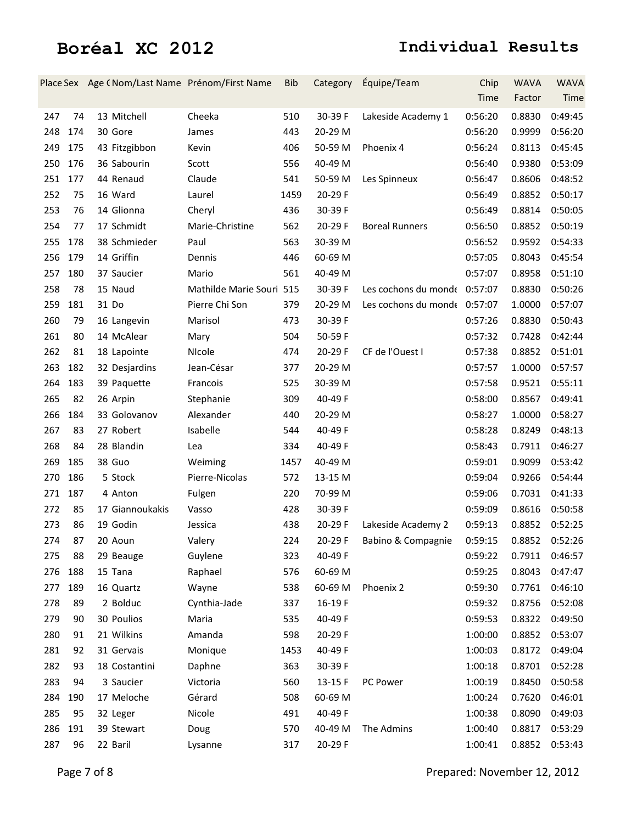|     |     | Place Sex Age (Nom/Last Name Prénom/First Name |                          | <b>Bib</b> | Category  | Équipe/Team                  | Chip    | <b>WAVA</b> | <b>WAVA</b> |
|-----|-----|------------------------------------------------|--------------------------|------------|-----------|------------------------------|---------|-------------|-------------|
|     |     |                                                |                          |            |           |                              | Time    | Factor      | Time        |
| 247 | 74  | 13 Mitchell                                    | Cheeka                   | 510        | 30-39 F   | Lakeside Academy 1           | 0:56:20 | 0.8830      | 0:49:45     |
| 248 | 174 | 30 Gore                                        | James                    | 443        | 20-29 M   |                              | 0:56:20 | 0.9999      | 0:56:20     |
| 249 | 175 | 43 Fitzgibbon                                  | Kevin                    | 406        | 50-59 M   | Phoenix 4                    | 0:56:24 | 0.8113      | 0:45:45     |
| 250 | 176 | 36 Sabourin                                    | Scott                    | 556        | 40-49 M   |                              | 0:56:40 | 0.9380      | 0:53:09     |
| 251 | 177 | 44 Renaud                                      | Claude                   | 541        | 50-59 M   | Les Spinneux                 | 0:56:47 | 0.8606      | 0:48:52     |
| 252 | 75  | 16 Ward                                        | Laurel                   | 1459       | 20-29 F   |                              | 0:56:49 | 0.8852      | 0:50:17     |
| 253 | 76  | 14 Glionna                                     | Cheryl                   | 436        | 30-39 F   |                              | 0:56:49 | 0.8814      | 0:50:05     |
| 254 | 77  | 17 Schmidt                                     | Marie-Christine          | 562        | 20-29 F   | <b>Boreal Runners</b>        | 0:56:50 | 0.8852      | 0:50:19     |
| 255 | 178 | 38 Schmieder                                   | Paul                     | 563        | 30-39 M   |                              | 0:56:52 | 0.9592      | 0:54:33     |
| 256 | 179 | 14 Griffin                                     | Dennis                   | 446        | 60-69 M   |                              | 0:57:05 | 0.8043      | 0:45:54     |
| 257 | 180 | 37 Saucier                                     | Mario                    | 561        | 40-49 M   |                              | 0:57:07 | 0.8958      | 0:51:10     |
| 258 | 78  | 15 Naud                                        | Mathilde Marie Souri 515 |            | 30-39 F   | Les cochons du monde 0:57:07 |         | 0.8830      | 0:50:26     |
| 259 | 181 | 31 Do                                          | Pierre Chi Son           | 379        | 20-29 M   | Les cochons du monde 0:57:07 |         | 1.0000      | 0:57:07     |
| 260 | 79  | 16 Langevin                                    | Marisol                  | 473        | 30-39 F   |                              | 0:57:26 | 0.8830      | 0:50:43     |
| 261 | 80  | 14 McAlear                                     | Mary                     | 504        | 50-59 F   |                              | 0:57:32 | 0.7428      | 0:42:44     |
| 262 | 81  | 18 Lapointe                                    | NIcole                   | 474        | 20-29 F   | CF de l'Ouest I              | 0:57:38 | 0.8852      | 0:51:01     |
| 263 | 182 | 32 Desjardins                                  | Jean-César               | 377        | 20-29 M   |                              | 0:57:57 | 1.0000      | 0:57:57     |
| 264 | 183 | 39 Paquette                                    | Francois                 | 525        | 30-39 M   |                              | 0:57:58 | 0.9521      | 0:55:11     |
| 265 | 82  | 26 Arpin                                       | Stephanie                | 309        | 40-49 F   |                              | 0:58:00 | 0.8567      | 0:49:41     |
| 266 | 184 | 33 Golovanov                                   | Alexander                | 440        | 20-29 M   |                              | 0:58:27 | 1.0000      | 0:58:27     |
| 267 | 83  | 27 Robert                                      | Isabelle                 | 544        | 40-49 F   |                              | 0:58:28 | 0.8249      | 0:48:13     |
| 268 | 84  | 28 Blandin                                     | Lea                      | 334        | 40-49 F   |                              | 0:58:43 | 0.7911      | 0:46:27     |
| 269 | 185 | 38 Guo                                         | Weiming                  | 1457       | 40-49 M   |                              | 0:59:01 | 0.9099      | 0:53:42     |
| 270 | 186 | 5 Stock                                        | Pierre-Nicolas           | 572        | 13-15 M   |                              | 0:59:04 | 0.9266      | 0:54:44     |
| 271 | 187 | 4 Anton                                        | Fulgen                   | 220        | 70-99 M   |                              | 0:59:06 | 0.7031      | 0:41:33     |
| 272 | 85  | 17 Giannoukakis                                | Vasso                    | 428        | 30-39 F   |                              | 0:59:09 | 0.8616      | 0:50:58     |
| 273 | 86  | 19 Godin                                       | Jessica                  | 438        | 20-29 F   | Lakeside Academy 2           | 0:59:13 | 0.8852      | 0:52:25     |
| 274 | 87  | 20 Aoun                                        | Valery                   | 224        | $20-29$ F | Babino & Compagnie           | 0:59:15 | 0.8852      | 0:52:26     |
| 275 | 88  | 29 Beauge                                      | Guylene                  | 323        | 40-49 F   |                              | 0:59:22 | 0.7911      | 0:46:57     |
| 276 | 188 | 15 Tana                                        | Raphael                  | 576        | 60-69 M   |                              | 0:59:25 | 0.8043      | 0:47:47     |
| 277 | 189 | 16 Quartz                                      | Wayne                    | 538        | 60-69 M   | Phoenix 2                    | 0:59:30 | 0.7761      | 0:46:10     |
| 278 | 89  | 2 Bolduc                                       | Cynthia-Jade             | 337        | 16-19F    |                              | 0:59:32 | 0.8756      | 0:52:08     |
| 279 | 90  | 30 Poulios                                     | Maria                    | 535        | 40-49 F   |                              | 0:59:53 | 0.8322      | 0:49:50     |
| 280 | 91  | 21 Wilkins                                     | Amanda                   | 598        | 20-29 F   |                              | 1:00:00 | 0.8852      | 0:53:07     |
| 281 | 92  | 31 Gervais                                     | Monique                  | 1453       | 40-49 F   |                              | 1:00:03 | 0.8172      | 0:49:04     |
| 282 | 93  | 18 Costantini                                  | Daphne                   | 363        | 30-39 F   |                              | 1:00:18 | 0.8701      | 0:52:28     |
| 283 | 94  | 3 Saucier                                      | Victoria                 | 560        | 13-15 F   | PC Power                     | 1:00:19 | 0.8450      | 0:50:58     |
| 284 | 190 | 17 Meloche                                     | Gérard                   | 508        | 60-69 M   |                              | 1:00:24 | 0.7620      | 0:46:01     |
| 285 | 95  | 32 Leger                                       | Nicole                   | 491        | 40-49 F   |                              | 1:00:38 | 0.8090      | 0:49:03     |
| 286 | 191 | 39 Stewart                                     | Doug                     | 570        | 40-49 M   | The Admins                   | 1:00:40 | 0.8817      | 0:53:29     |
| 287 | 96  | 22 Baril                                       | Lysanne                  | 317        | 20-29 F   |                              | 1:00:41 | 0.8852      | 0:53:43     |